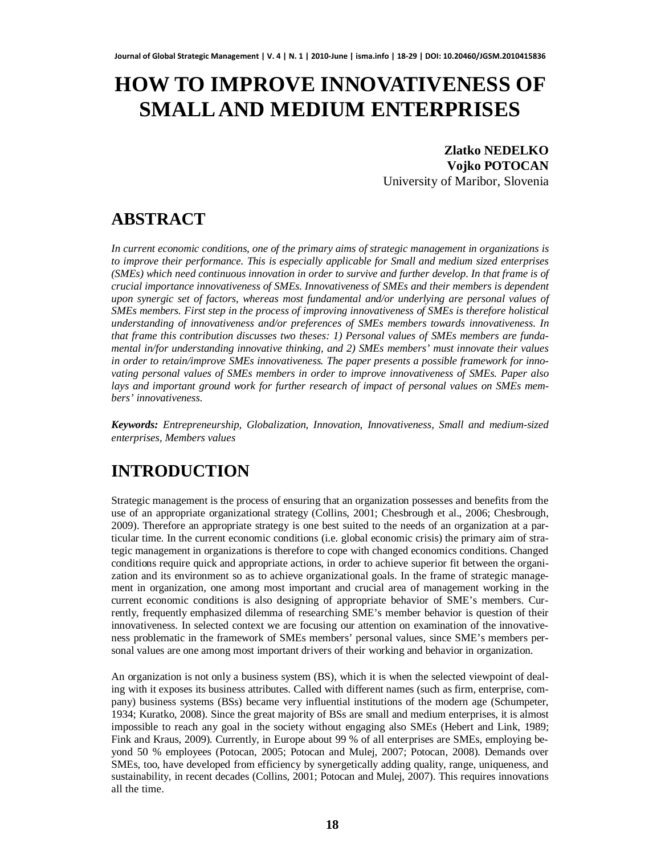# **HOW TO IMPROVE INNOVATIVENESS OF SMALL AND MEDIUM ENTERPRISES**

### **Zlatko NEDELKO Vojko POTOCAN**

University of Maribor, Slovenia

# **ABSTRACT**

*In current economic conditions, one of the primary aims of strategic management in organizations is to improve their performance. This is especially applicable for Small and medium sized enterprises (SMEs) which need continuous innovation in order to survive and further develop. In that frame is of crucial importance innovativeness of SMEs. Innovativeness of SMEs and their members is dependent upon synergic set of factors, whereas most fundamental and/or underlying are personal values of SMEs members. First step in the process of improving innovativeness of SMEs is therefore holistical understanding of innovativeness and/or preferences of SMEs members towards innovativeness. In that frame this contribution discusses two theses: 1) Personal values of SMEs members are fundamental in/for understanding innovative thinking, and 2) SMEs members' must innovate their values in order to retain/improve SMEs innovativeness. The paper presents a possible framework for innovating personal values of SMEs members in order to improve innovativeness of SMEs. Paper also lays and important ground work for further research of impact of personal values on SMEs members' innovativeness.*

*Keywords: Entrepreneurship, Globalization, Innovation, Innovativeness, Small and medium-sized enterprises, Members values*

# **INTRODUCTION**

Strategic management is the process of ensuring that an organization possesses and benefits from the use of an appropriate organizational strategy (Collins, 2001; Chesbrough et al., 2006; Chesbrough, 2009). Therefore an appropriate strategy is one best suited to the needs of an organization at a particular time. In the current economic conditions (i.e. global economic crisis) the primary aim of strategic management in organizations is therefore to cope with changed economics conditions. Changed conditions require quick and appropriate actions, in order to achieve superior fit between the organization and its environment so as to achieve organizational goals. In the frame of strategic management in organization, one among most important and crucial area of management working in the current economic conditions is also designing of appropriate behavior of SME's members. Currently, frequently emphasized dilemma of researching SME's member behavior is question of their innovativeness. In selected context we are focusing our attention on examination of the innovativeness problematic in the framework of SMEs members' personal values, since SME's members personal values are one among most important drivers of their working and behavior in organization.

An organization is not only a business system (BS), which it is when the selected viewpoint of dealing with it exposes its business attributes. Called with different names (such as firm, enterprise, company) business systems (BSs) became very influential institutions of the modern age (Schumpeter, 1934; Kuratko, 2008). Since the great majority of BSs are small and medium enterprises, it is almost impossible to reach any goal in the society without engaging also SMEs (Hebert and Link, 1989; Fink and Kraus, 2009). Currently, in Europe about 99 % of all enterprises are SMEs, employing beyond 50 % employees (Potocan, 2005; Potocan and Mulej, 2007; Potocan, 2008). Demands over SMEs, too, have developed from efficiency by synergetically adding quality, range, uniqueness, and sustainability, in recent decades (Collins, 2001; Potocan and Mulej, 2007). This requires innovations all the time.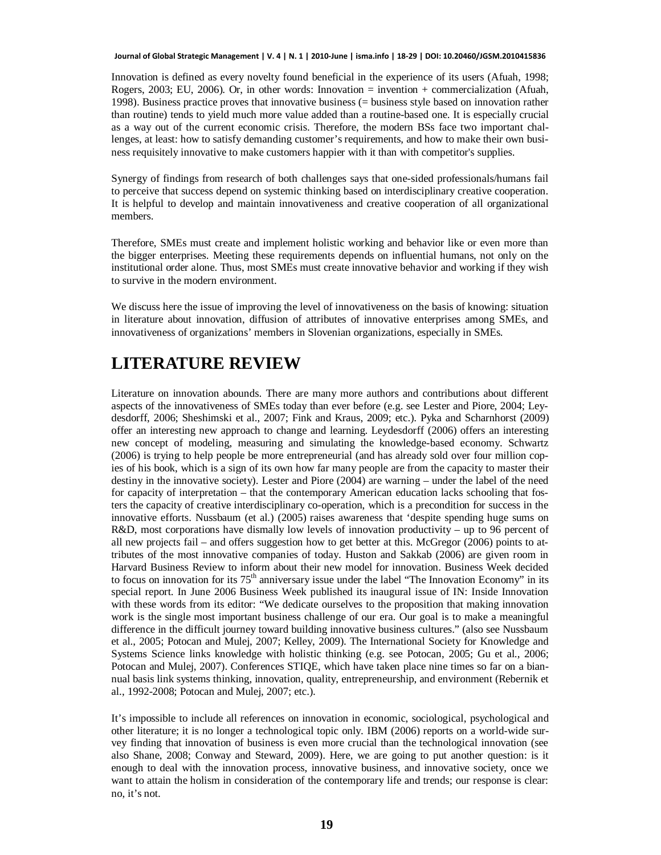Innovation is defined as every novelty found beneficial in the experience of its users (Afuah, 1998; Rogers, 2003; EU, 2006). Or, in other words: Innovation = invention + commercialization (Afuah, 1998). Business practice proves that innovative business (= business style based on innovation rather than routine) tends to yield much more value added than a routine-based one. It is especially crucial as a way out of the current economic crisis. Therefore, the modern BSs face two important challenges, at least: how to satisfy demanding customer's requirements, and how to make their own business requisitely innovative to make customers happier with it than with competitor's supplies.

Synergy of findings from research of both challenges says that one-sided professionals/humans fail to perceive that success depend on systemic thinking based on interdisciplinary creative cooperation. It is helpful to develop and maintain innovativeness and creative cooperation of all organizational members.

Therefore, SMEs must create and implement holistic working and behavior like or even more than the bigger enterprises. Meeting these requirements depends on influential humans, not only on the institutional order alone. Thus, most SMEs must create innovative behavior and working if they wish to survive in the modern environment.

We discuss here the issue of improving the level of innovativeness on the basis of knowing: situation in literature about innovation, diffusion of attributes of innovative enterprises among SMEs, and innovativeness of organizations' members in Slovenian organizations, especially in SMEs.

# **LITERATURE REVIEW**

Literature on innovation abounds. There are many more authors and contributions about different aspects of the innovativeness of SMEs today than ever before (e.g. see Lester and Piore, 2004; Leydesdorff, 2006; Sheshimski et al., 2007; Fink and Kraus, 2009; etc.). Pyka and Scharnhorst (2009) offer an interesting new approach to change and learning. Leydesdorff (2006) offers an interesting new concept of modeling, measuring and simulating the knowledge-based economy. Schwartz (2006) is trying to help people be more entrepreneurial (and has already sold over four million copies of his book, which is a sign of its own how far many people are from the capacity to master their destiny in the innovative society). Lester and Piore (2004) are warning – under the label of the need for capacity of interpretation – that the contemporary American education lacks schooling that fosters the capacity of creative interdisciplinary co-operation, which is a precondition for success in the innovative efforts. Nussbaum (et al.) (2005) raises awareness that 'despite spending huge sums on R&D, most corporations have dismally low levels of innovation productivity – up to 96 percent of all new projects fail – and offers suggestion how to get better at this. McGregor (2006) points to attributes of the most innovative companies of today. Huston and Sakkab (2006) are given room in Harvard Business Review to inform about their new model for innovation. Business Week decided to focus on innovation for its 75<sup>th</sup> anniversary issue under the label "The Innovation Economy" in its special report. In June 2006 Business Week published its inaugural issue of IN: Inside Innovation with these words from its editor: "We dedicate ourselves to the proposition that making innovation work is the single most important business challenge of our era. Our goal is to make a meaningful difference in the difficult journey toward building innovative business cultures." (also see Nussbaum et al., 2005; Potocan and Mulej, 2007; Kelley, 2009). The International Society for Knowledge and Systems Science links knowledge with holistic thinking (e.g. see Potocan, 2005; Gu et al., 2006; Potocan and Mulej, 2007). Conferences STIQE, which have taken place nine times so far on a biannual basis link systems thinking, innovation, quality, entrepreneurship, and environment (Rebernik et al., 1992-2008; Potocan and Mulej, 2007; etc.).

It's impossible to include all references on innovation in economic, sociological, psychological and other literature; it is no longer a technological topic only. IBM (2006) reports on a world-wide survey finding that innovation of business is even more crucial than the technological innovation (see also Shane, 2008; Conway and Steward, 2009). Here, we are going to put another question: is it enough to deal with the innovation process, innovative business, and innovative society, once we want to attain the holism in consideration of the contemporary life and trends; our response is clear: no, it's not.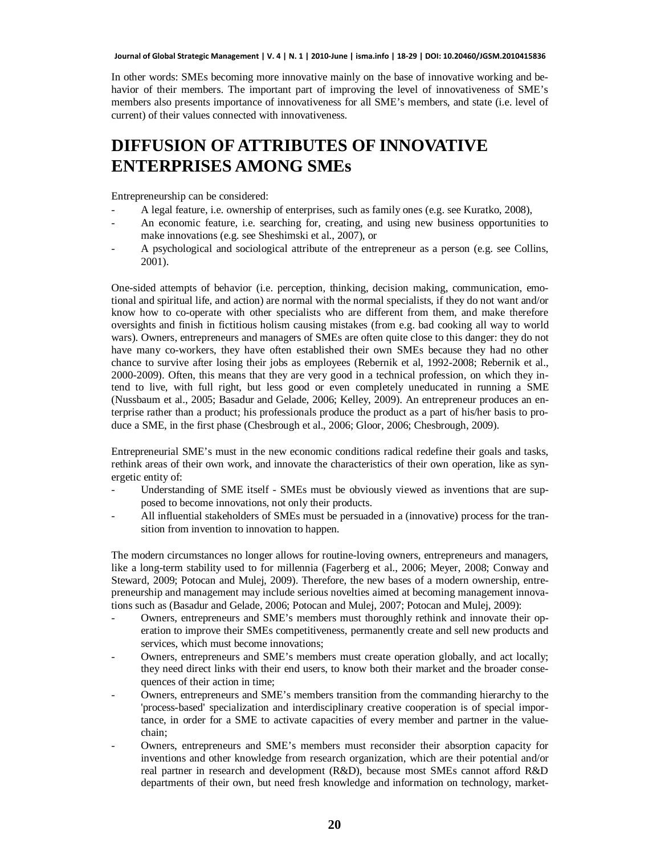In other words: SMEs becoming more innovative mainly on the base of innovative working and behavior of their members. The important part of improving the level of innovativeness of SME's members also presents importance of innovativeness for all SME's members, and state (i.e. level of current) of their values connected with innovativeness.

# **DIFFUSION OF ATTRIBUTES OF INNOVATIVE ENTERPRISES AMONG SMEs**

Entrepreneurship can be considered:

- A legal feature, i.e. ownership of enterprises, such as family ones (e.g. see Kuratko, 2008),
- An economic feature, i.e. searching for, creating, and using new business opportunities to make innovations (e.g. see Sheshimski et al., 2007), or
- A psychological and sociological attribute of the entrepreneur as a person (e.g. see Collins, 2001).

One-sided attempts of behavior (i.e. perception, thinking, decision making, communication, emotional and spiritual life, and action) are normal with the normal specialists, if they do not want and/or know how to co-operate with other specialists who are different from them, and make therefore oversights and finish in fictitious holism causing mistakes (from e.g. bad cooking all way to world wars). Owners, entrepreneurs and managers of SMEs are often quite close to this danger: they do not have many co-workers, they have often established their own SMEs because they had no other chance to survive after losing their jobs as employees (Rebernik et al, 1992-2008; Rebernik et al., 2000-2009). Often, this means that they are very good in a technical profession, on which they intend to live, with full right, but less good or even completely uneducated in running a SME (Nussbaum et al., 2005; Basadur and Gelade, 2006; Kelley, 2009). An entrepreneur produces an enterprise rather than a product; his professionals produce the product as a part of his/her basis to produce a SME, in the first phase (Chesbrough et al., 2006; Gloor, 2006; Chesbrough, 2009).

Entrepreneurial SME's must in the new economic conditions radical redefine their goals and tasks, rethink areas of their own work, and innovate the characteristics of their own operation, like as synergetic entity of:

- Understanding of SME itself SMEs must be obviously viewed as inventions that are supposed to become innovations, not only their products.
- All influential stakeholders of SMEs must be persuaded in a (innovative) process for the transition from invention to innovation to happen.

The modern circumstances no longer allows for routine-loving owners, entrepreneurs and managers, like a long-term stability used to for millennia (Fagerberg et al., 2006; Meyer, 2008; Conway and Steward, 2009; Potocan and Mulej, 2009). Therefore, the new bases of a modern ownership, entrepreneurship and management may include serious novelties aimed at becoming management innovations such as (Basadur and Gelade, 2006; Potocan and Mulej, 2007; Potocan and Mulej, 2009):

- Owners, entrepreneurs and SME's members must thoroughly rethink and innovate their operation to improve their SMEs competitiveness, permanently create and sell new products and services, which must become innovations;
- Owners, entrepreneurs and SME's members must create operation globally, and act locally; they need direct links with their end users, to know both their market and the broader consequences of their action in time;
- Owners, entrepreneurs and SME's members transition from the commanding hierarchy to the 'process-based' specialization and interdisciplinary creative cooperation is of special importance, in order for a SME to activate capacities of every member and partner in the valuechain;
- Owners, entrepreneurs and SME's members must reconsider their absorption capacity for inventions and other knowledge from research organization, which are their potential and/or real partner in research and development (R&D), because most SMEs cannot afford R&D departments of their own, but need fresh knowledge and information on technology, market-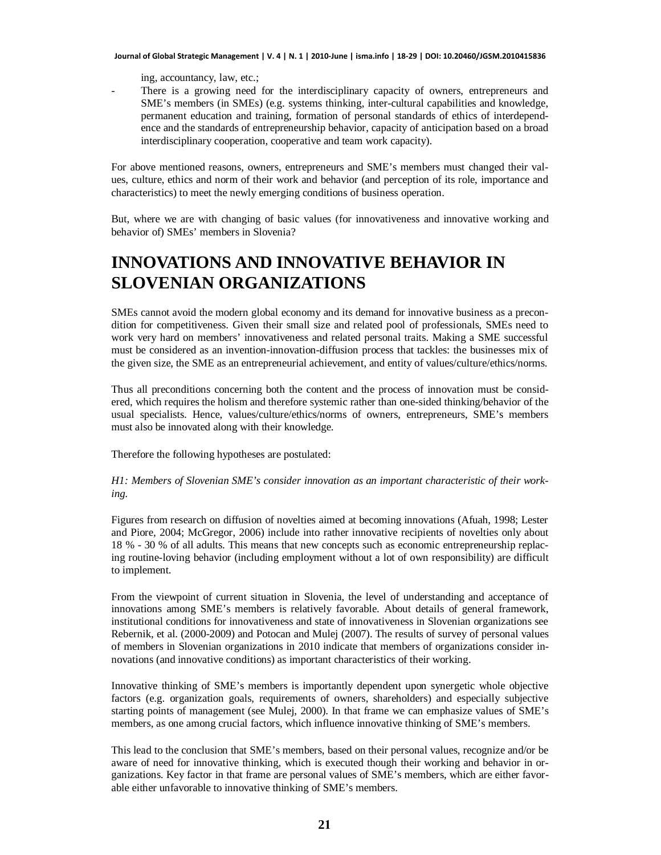ing, accountancy, law, etc.;

There is a growing need for the interdisciplinary capacity of owners, entrepreneurs and SME's members (in SMEs) (e.g. systems thinking, inter-cultural capabilities and knowledge, permanent education and training, formation of personal standards of ethics of interdependence and the standards of entrepreneurship behavior, capacity of anticipation based on a broad interdisciplinary cooperation, cooperative and team work capacity).

For above mentioned reasons, owners, entrepreneurs and SME's members must changed their values, culture, ethics and norm of their work and behavior (and perception of its role, importance and characteristics) to meet the newly emerging conditions of business operation.

But, where we are with changing of basic values (for innovativeness and innovative working and behavior of) SMEs' members in Slovenia?

### **INNOVATIONS AND INNOVATIVE BEHAVIOR IN SLOVENIAN ORGANIZATIONS**

SMEs cannot avoid the modern global economy and its demand for innovative business as a precondition for competitiveness. Given their small size and related pool of professionals, SMEs need to work very hard on members' innovativeness and related personal traits. Making a SME successful must be considered as an invention-innovation-diffusion process that tackles: the businesses mix of the given size, the SME as an entrepreneurial achievement, and entity of values/culture/ethics/norms.

Thus all preconditions concerning both the content and the process of innovation must be considered, which requires the holism and therefore systemic rather than one-sided thinking/behavior of the usual specialists. Hence, values/culture/ethics/norms of owners, entrepreneurs, SME's members must also be innovated along with their knowledge.

Therefore the following hypotheses are postulated:

*H1: Members of Slovenian SME's consider innovation as an important characteristic of their working.*

Figures from research on diffusion of novelties aimed at becoming innovations (Afuah, 1998; Lester and Piore, 2004; McGregor, 2006) include into rather innovative recipients of novelties only about 18 % - 30 % of all adults. This means that new concepts such as economic entrepreneurship replacing routine-loving behavior (including employment without a lot of own responsibility) are difficult to implement.

From the viewpoint of current situation in Slovenia, the level of understanding and acceptance of innovations among SME's members is relatively favorable. About details of general framework, institutional conditions for innovativeness and state of innovativeness in Slovenian organizations see Rebernik, et al. (2000-2009) and Potocan and Mulej (2007). The results of survey of personal values of members in Slovenian organizations in 2010 indicate that members of organizations consider innovations (and innovative conditions) as important characteristics of their working.

Innovative thinking of SME's members is importantly dependent upon synergetic whole objective factors (e.g. organization goals, requirements of owners, shareholders) and especially subjective starting points of management (see Mulej, 2000). In that frame we can emphasize values of SME's members, as one among crucial factors, which influence innovative thinking of SME's members.

This lead to the conclusion that SME's members, based on their personal values, recognize and/or be aware of need for innovative thinking, which is executed though their working and behavior in organizations. Key factor in that frame are personal values of SME's members, which are either favorable either unfavorable to innovative thinking of SME's members.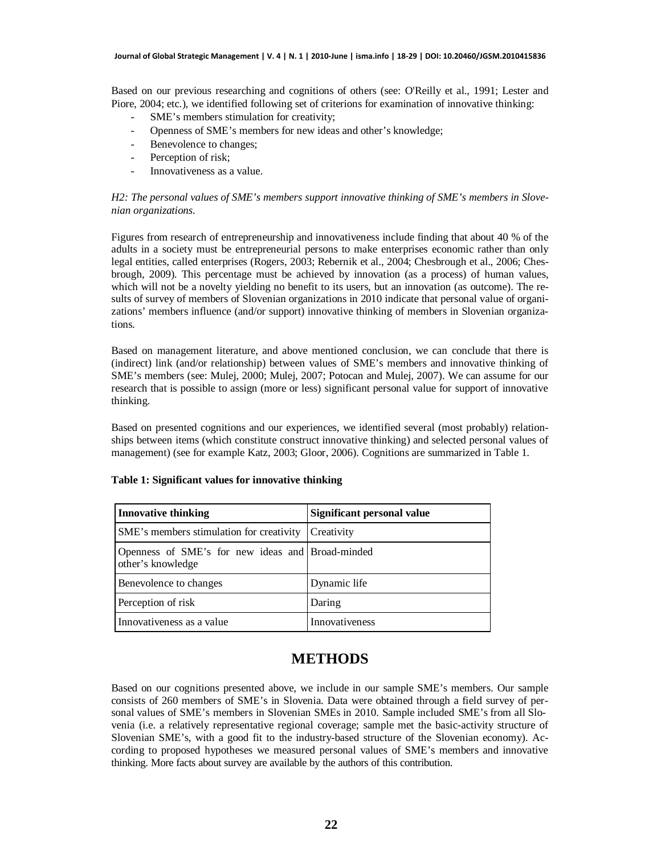Based on our previous researching and cognitions of others (see: O'Reilly et al., 1991; Lester and Piore, 2004; etc.), we identified following set of criterions for examination of innovative thinking:

- SME's members stimulation for creativity;
- Openness of SME's members for new ideas and other's knowledge;
- Benevolence to changes;
- Perception of risk;
- Innovativeness as a value.

#### *H2: The personal values of SME's members support innovative thinking of SME's members in Slovenian organizations.*

Figures from research of entrepreneurship and innovativeness include finding that about 40 % of the adults in a society must be entrepreneurial persons to make enterprises economic rather than only legal entities, called enterprises (Rogers, 2003; Rebernik et al., 2004; Chesbrough et al., 2006; Chesbrough, 2009). This percentage must be achieved by innovation (as a process) of human values, which will not be a novelty yielding no benefit to its users, but an innovation (as outcome). The results of survey of members of Slovenian organizations in 2010 indicate that personal value of organizations' members influence (and/or support) innovative thinking of members in Slovenian organizations.

Based on management literature, and above mentioned conclusion, we can conclude that there is (indirect) link (and/or relationship) between values of SME's members and innovative thinking of SME's members (see: Mulej, 2000; Mulej, 2007; Potocan and Mulej, 2007). We can assume for our research that is possible to assign (more or less) significant personal value for support of innovative thinking.

Based on presented cognitions and our experiences, we identified several (most probably) relationships between items (which constitute construct innovative thinking) and selected personal values of management) (see for example Katz, 2003; Gloor, 2006). Cognitions are summarized in Table 1.

| <b>Innovative thinking</b>                                            | Significant personal value |
|-----------------------------------------------------------------------|----------------------------|
| SME's members stimulation for creativity                              | Creativity                 |
| Openness of SME's for new ideas and Broad-minded<br>other's knowledge |                            |
| Benevolence to changes                                                | Dynamic life               |
| Perception of risk                                                    | Daring                     |
| Innovativeness as a value                                             | <b>Innovativeness</b>      |

#### **Table 1: Significant values for innovative thinking**

### **METHODS**

Based on our cognitions presented above, we include in our sample SME's members. Our sample consists of 260 members of SME's in Slovenia. Data were obtained through a field survey of personal values of SME's members in Slovenian SMEs in 2010. Sample included SME's from all Slovenia (i.e. a relatively representative regional coverage; sample met the basic-activity structure of Slovenian SME's, with a good fit to the industry-based structure of the Slovenian economy). According to proposed hypotheses we measured personal values of SME's members and innovative thinking. More facts about survey are available by the authors of this contribution.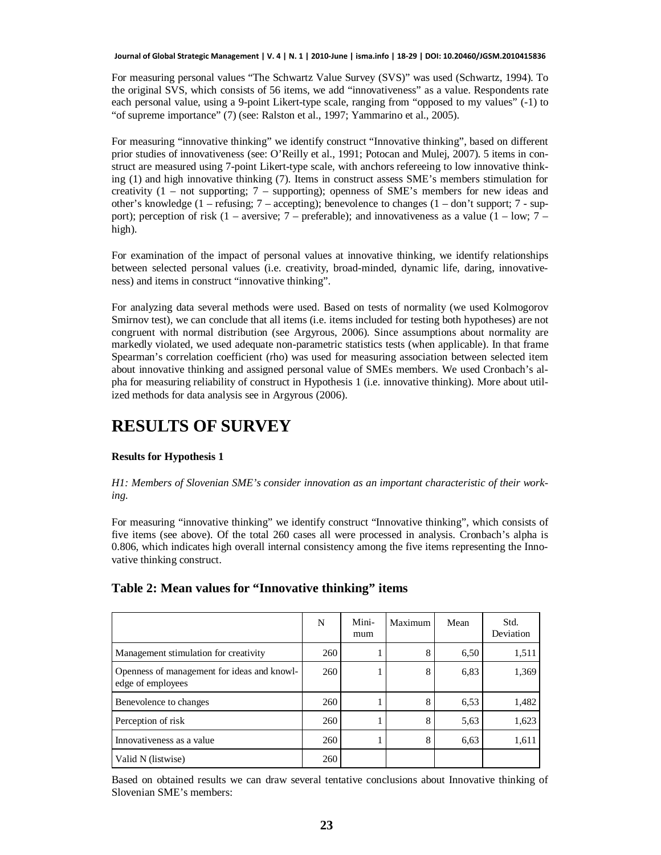For measuring personal values "The Schwartz Value Survey (SVS)" was used (Schwartz, 1994). To the original SVS, which consists of 56 items, we add "innovativeness" as a value. Respondents rate each personal value, using a 9-point Likert-type scale, ranging from "opposed to my values" (-1) to "of supreme importance" (7) (see: Ralston et al., 1997; Yammarino et al., 2005).

For measuring "innovative thinking" we identify construct "Innovative thinking", based on different prior studies of innovativeness (see: O'Reilly et al., 1991; Potocan and Mulej, 2007). 5 items in construct are measured using 7-point Likert-type scale, with anchors refereeing to low innovative thinking (1) and high innovative thinking (7). Items in construct assess SME's members stimulation for creativity (1 – not supporting; 7 – supporting); openness of SME's members for new ideas and other's knowledge (1 – refusing;  $7$  – accepting); benevolence to changes (1 – don't support;  $7$  - support); perception of risk  $(1 - \text{aversive}; 7 - \text{preferable})$ ; and innovativeness as a value  $(1 - \text{low}; 7 - \text{preferable})$ high).

For examination of the impact of personal values at innovative thinking, we identify relationships between selected personal values (i.e. creativity, broad-minded, dynamic life, daring, innovativeness) and items in construct "innovative thinking".

For analyzing data several methods were used. Based on tests of normality (we used Kolmogorov Smirnov test), we can conclude that all items (i.e. items included for testing both hypotheses) are not congruent with normal distribution (see Argyrous, 2006). Since assumptions about normality are markedly violated, we used adequate non-parametric statistics tests (when applicable). In that frame Spearman's correlation coefficient (rho) was used for measuring association between selected item about innovative thinking and assigned personal value of SMEs members. We used Cronbach's alpha for measuring reliability of construct in Hypothesis 1 (i.e. innovative thinking). More about utilized methods for data analysis see in Argyrous (2006).

### **RESULTS OF SURVEY**

#### **Results for Hypothesis 1**

#### *H1: Members of Slovenian SME's consider innovation as an important characteristic of their working.*

For measuring "innovative thinking" we identify construct "Innovative thinking", which consists of five items (see above). Of the total 260 cases all were processed in analysis. Cronbach's alpha is 0.806, which indicates high overall internal consistency among the five items representing the Innovative thinking construct.

#### **Table 2: Mean values for "Innovative thinking" items**

|                                                                  | N   | Mini-<br>mum | Maximum | Mean | Std.<br>Deviation |
|------------------------------------------------------------------|-----|--------------|---------|------|-------------------|
| Management stimulation for creativity                            | 260 |              | 8       | 6,50 | 1,511             |
| Openness of management for ideas and knowl-<br>edge of employees | 260 |              | 8       | 6,83 | 1,369             |
| Benevolence to changes                                           | 260 |              | 8       | 6.53 | 1,482             |
| Perception of risk                                               | 260 |              | 8       | 5.63 | 1,623             |
| Innovativeness as a value                                        | 260 |              | 8       | 6,63 | 1,611             |
| Valid N (listwise)                                               | 260 |              |         |      |                   |

Based on obtained results we can draw several tentative conclusions about Innovative thinking of Slovenian SME's members: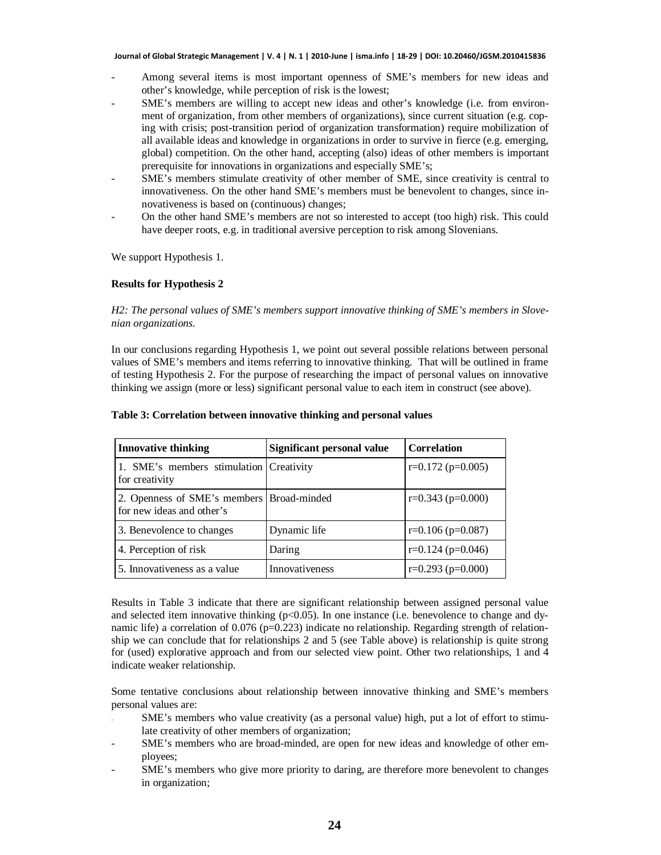- Among several items is most important openness of SME's members for new ideas and other's knowledge, while perception of risk is the lowest;
- SME's members are willing to accept new ideas and other's knowledge (i.e. from environment of organization, from other members of organizations), since current situation (e.g. coping with crisis; post-transition period of organization transformation) require mobilization of all available ideas and knowledge in organizations in order to survive in fierce (e.g. emerging, global) competition. On the other hand, accepting (also) ideas of other members is important prerequisite for innovations in organizations and especially SME's;
- SME's members stimulate creativity of other member of SME, since creativity is central to innovativeness. On the other hand SME's members must be benevolent to changes, since innovativeness is based on (continuous) changes;
- On the other hand SME's members are not so interested to accept (too high) risk. This could have deeper roots, e.g. in traditional aversive perception to risk among Slovenians.

We support Hypothesis 1.

#### **Results for Hypothesis 2**

#### *H2: The personal values of SME's members support innovative thinking of SME's members in Slovenian organizations.*

In our conclusions regarding Hypothesis 1, we point out several possible relations between personal values of SME's members and items referring to innovative thinking. That will be outlined in frame of testing Hypothesis 2. For the purpose of researching the impact of personal values on innovative thinking we assign (more or less) significant personal value to each item in construct (see above).

| <b>Innovative thinking</b>                                             | Significant personal value | <b>Correlation</b>      |
|------------------------------------------------------------------------|----------------------------|-------------------------|
| 1. SME's members stimulation Creativity<br>for creativity              |                            | $r=0.172$ ( $p=0.005$ ) |
| 2. Openness of SME's members Broad-minded<br>for new ideas and other's |                            | $r=0.343$ ( $p=0.000$ ) |
| 3. Benevolence to changes                                              | Dynamic life               | $r=0.106$ ( $p=0.087$ ) |
| 4. Perception of risk                                                  | Daring                     | $r=0.124$ ( $p=0.046$ ) |
| 5. Innovativeness as a value                                           | Innovativeness             | $r=0.293$ ( $p=0.000$ ) |

#### **Table 3: Correlation between innovative thinking and personal values**

Results in Table 3 indicate that there are significant relationship between assigned personal value and selected item innovative thinking  $(p<0.05)$ . In one instance (i.e. benevolence to change and dynamic life) a correlation of 0.076 (p=0.223) indicate no relationship. Regarding strength of relationship we can conclude that for relationships 2 and 5 (see Table above) is relationship is quite strong for (used) explorative approach and from our selected view point. Other two relationships, 1 and 4 indicate weaker relationship.

Some tentative conclusions about relationship between innovative thinking and SME's members personal values are:

- SME's members who value creativity (as a personal value) high, put a lot of effort to stimulate creativity of other members of organization;
- SME's members who are broad-minded, are open for new ideas and knowledge of other employees;
- SME's members who give more priority to daring, are therefore more benevolent to changes in organization;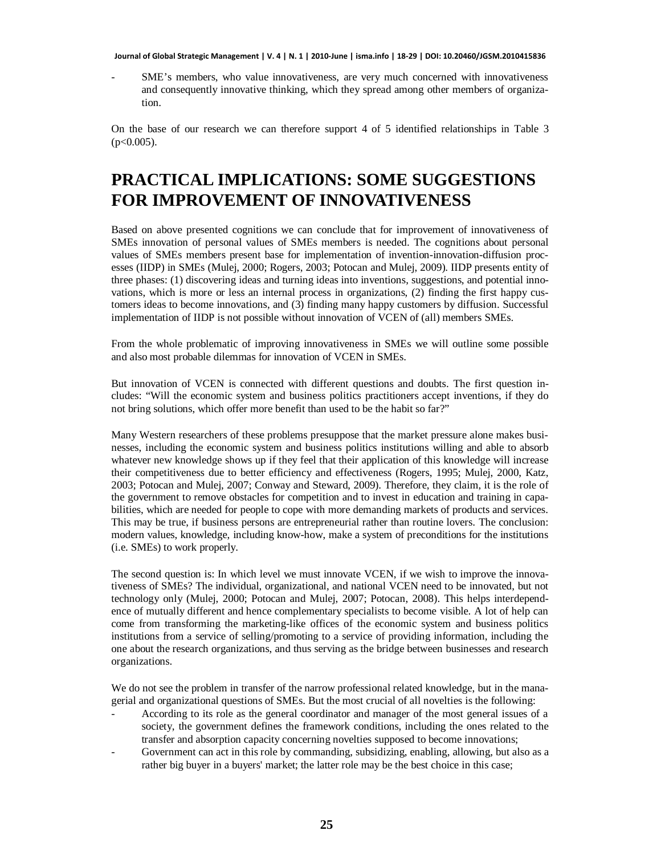SME's members, who value innovativeness, are very much concerned with innovativeness and consequently innovative thinking, which they spread among other members of organization.

On the base of our research we can therefore support 4 of 5 identified relationships in Table 3  $(p<0.005)$ .

# **PRACTICAL IMPLICATIONS: SOME SUGGESTIONS FOR IMPROVEMENT OF INNOVATIVENESS**

Based on above presented cognitions we can conclude that for improvement of innovativeness of SMEs innovation of personal values of SMEs members is needed. The cognitions about personal values of SMEs members present base for implementation of invention-innovation-diffusion processes (IIDP) in SMEs (Mulej, 2000; Rogers, 2003; Potocan and Mulej, 2009). IIDP presents entity of three phases: (1) discovering ideas and turning ideas into inventions, suggestions, and potential innovations, which is more or less an internal process in organizations, (2) finding the first happy customers ideas to become innovations, and (3) finding many happy customers by diffusion. Successful implementation of IIDP is not possible without innovation of VCEN of (all) members SMEs.

From the whole problematic of improving innovativeness in SMEs we will outline some possible and also most probable dilemmas for innovation of VCEN in SMEs.

But innovation of VCEN is connected with different questions and doubts. The first question includes: "Will the economic system and business politics practitioners accept inventions, if they do not bring solutions, which offer more benefit than used to be the habit so far?"

Many Western researchers of these problems presuppose that the market pressure alone makes businesses, including the economic system and business politics institutions willing and able to absorb whatever new knowledge shows up if they feel that their application of this knowledge will increase their competitiveness due to better efficiency and effectiveness (Rogers, 1995; Mulej, 2000, Katz, 2003; Potocan and Mulej, 2007; Conway and Steward, 2009). Therefore, they claim, it is the role of the government to remove obstacles for competition and to invest in education and training in capabilities, which are needed for people to cope with more demanding markets of products and services. This may be true, if business persons are entrepreneurial rather than routine lovers. The conclusion: modern values, knowledge, including know-how, make a system of preconditions for the institutions (i.e. SMEs) to work properly.

The second question is: In which level we must innovate VCEN, if we wish to improve the innovativeness of SMEs? The individual, organizational, and national VCEN need to be innovated, but not technology only (Mulej, 2000; Potocan and Mulej, 2007; Potocan, 2008). This helps interdependence of mutually different and hence complementary specialists to become visible. A lot of help can come from transforming the marketing-like offices of the economic system and business politics institutions from a service of selling/promoting to a service of providing information, including the one about the research organizations, and thus serving as the bridge between businesses and research organizations.

We do not see the problem in transfer of the narrow professional related knowledge, but in the managerial and organizational questions of SMEs. But the most crucial of all novelties is the following:

- According to its role as the general coordinator and manager of the most general issues of a society, the government defines the framework conditions, including the ones related to the transfer and absorption capacity concerning novelties supposed to become innovations;
- Government can act in this role by commanding, subsidizing, enabling, allowing, but also as a rather big buyer in a buyers' market; the latter role may be the best choice in this case;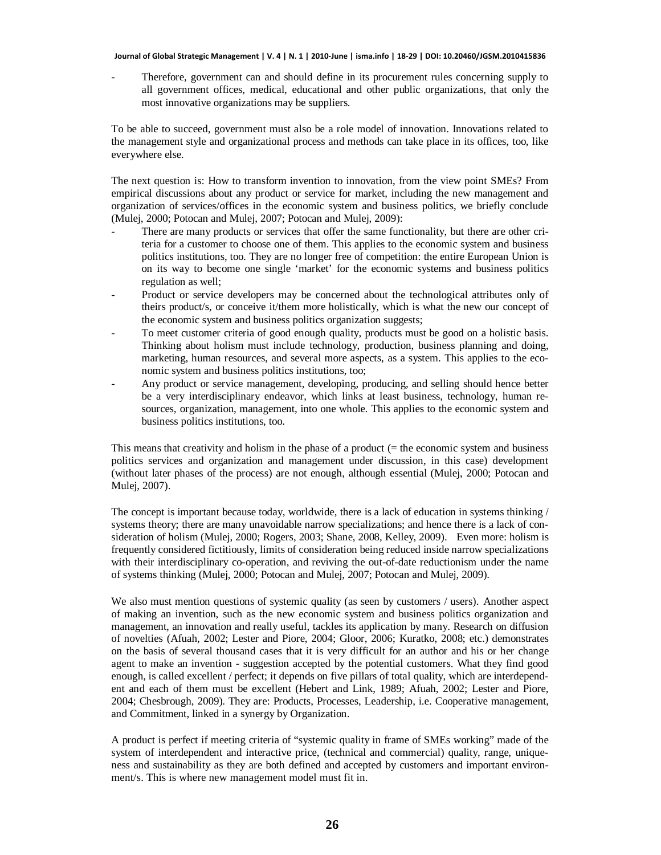Therefore, government can and should define in its procurement rules concerning supply to all government offices, medical, educational and other public organizations, that only the most innovative organizations may be suppliers.

To be able to succeed, government must also be a role model of innovation. Innovations related to the management style and organizational process and methods can take place in its offices, too, like everywhere else.

The next question is: How to transform invention to innovation, from the view point SMEs? From empirical discussions about any product or service for market, including the new management and organization of services/offices in the economic system and business politics, we briefly conclude (Mulej, 2000; Potocan and Mulej, 2007; Potocan and Mulej, 2009):

- There are many products or services that offer the same functionality, but there are other criteria for a customer to choose one of them. This applies to the economic system and business politics institutions, too. They are no longer free of competition: the entire European Union is on its way to become one single 'market' for the economic systems and business politics regulation as well;
- Product or service developers may be concerned about the technological attributes only of theirs product/s, or conceive it/them more holistically, which is what the new our concept of the economic system and business politics organization suggests;
- To meet customer criteria of good enough quality, products must be good on a holistic basis. Thinking about holism must include technology, production, business planning and doing, marketing, human resources, and several more aspects, as a system. This applies to the economic system and business politics institutions, too;
- Any product or service management, developing, producing, and selling should hence better be a very interdisciplinary endeavor, which links at least business, technology, human resources, organization, management, into one whole. This applies to the economic system and business politics institutions, too.

This means that creativity and holism in the phase of a product (= the economic system and business politics services and organization and management under discussion, in this case) development (without later phases of the process) are not enough, although essential (Mulej, 2000; Potocan and Mulej, 2007).

The concept is important because today, worldwide, there is a lack of education in systems thinking / systems theory; there are many unavoidable narrow specializations; and hence there is a lack of consideration of holism (Mulej, 2000; Rogers, 2003; Shane, 2008, Kelley, 2009). Even more: holism is frequently considered fictitiously, limits of consideration being reduced inside narrow specializations with their interdisciplinary co-operation, and reviving the out-of-date reductionism under the name of systems thinking (Mulej, 2000; Potocan and Mulej, 2007; Potocan and Mulej, 2009).

We also must mention questions of systemic quality (as seen by customers / users). Another aspect of making an invention, such as the new economic system and business politics organization and management, an innovation and really useful, tackles its application by many. Research on diffusion of novelties (Afuah, 2002; Lester and Piore, 2004; Gloor, 2006; Kuratko, 2008; etc.) demonstrates on the basis of several thousand cases that it is very difficult for an author and his or her change agent to make an invention - suggestion accepted by the potential customers. What they find good enough, is called excellent / perfect; it depends on five pillars of total quality, which are interdependent and each of them must be excellent (Hebert and Link, 1989; Afuah, 2002; Lester and Piore, 2004; Chesbrough, 2009). They are: Products, Processes, Leadership, i.e. Cooperative management, and Commitment, linked in a synergy by Organization.

A product is perfect if meeting criteria of "systemic quality in frame of SMEs working" made of the system of interdependent and interactive price, (technical and commercial) quality, range, uniqueness and sustainability as they are both defined and accepted by customers and important environment/s. This is where new management model must fit in.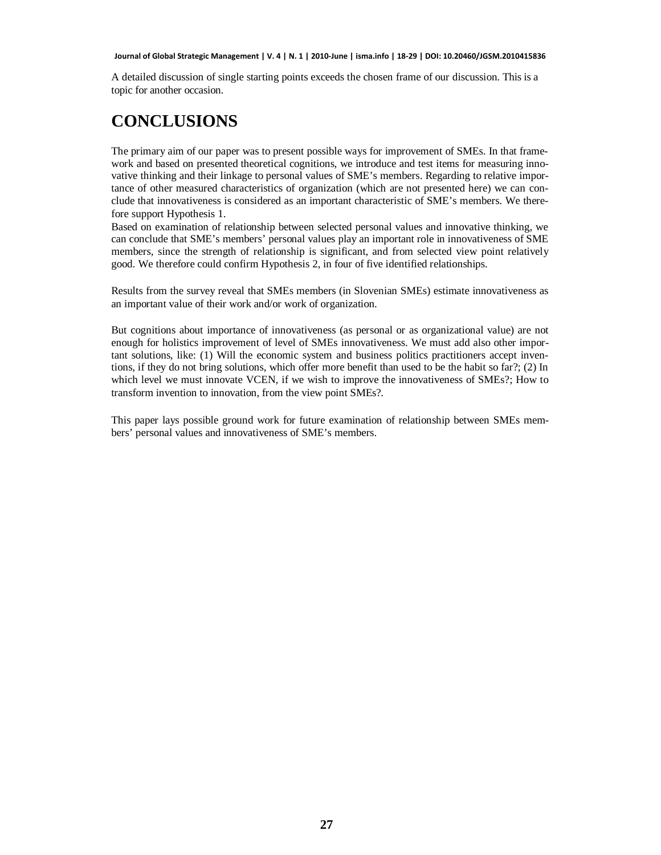A detailed discussion of single starting points exceeds the chosen frame of our discussion. This is a topic for another occasion.

### **CONCLUSIONS**

The primary aim of our paper was to present possible ways for improvement of SMEs. In that framework and based on presented theoretical cognitions, we introduce and test items for measuring innovative thinking and their linkage to personal values of SME's members. Regarding to relative importance of other measured characteristics of organization (which are not presented here) we can conclude that innovativeness is considered as an important characteristic of SME's members. We therefore support Hypothesis 1.

Based on examination of relationship between selected personal values and innovative thinking, we can conclude that SME's members' personal values play an important role in innovativeness of SME members, since the strength of relationship is significant, and from selected view point relatively good. We therefore could confirm Hypothesis 2, in four of five identified relationships.

Results from the survey reveal that SMEs members (in Slovenian SMEs) estimate innovativeness as an important value of their work and/or work of organization.

But cognitions about importance of innovativeness (as personal or as organizational value) are not enough for holistics improvement of level of SMEs innovativeness. We must add also other important solutions, like: (1) Will the economic system and business politics practitioners accept inventions, if they do not bring solutions, which offer more benefit than used to be the habit so far?; (2) In which level we must innovate VCEN, if we wish to improve the innovativeness of SMEs?; How to transform invention to innovation, from the view point SMEs?.

This paper lays possible ground work for future examination of relationship between SMEs members' personal values and innovativeness of SME's members.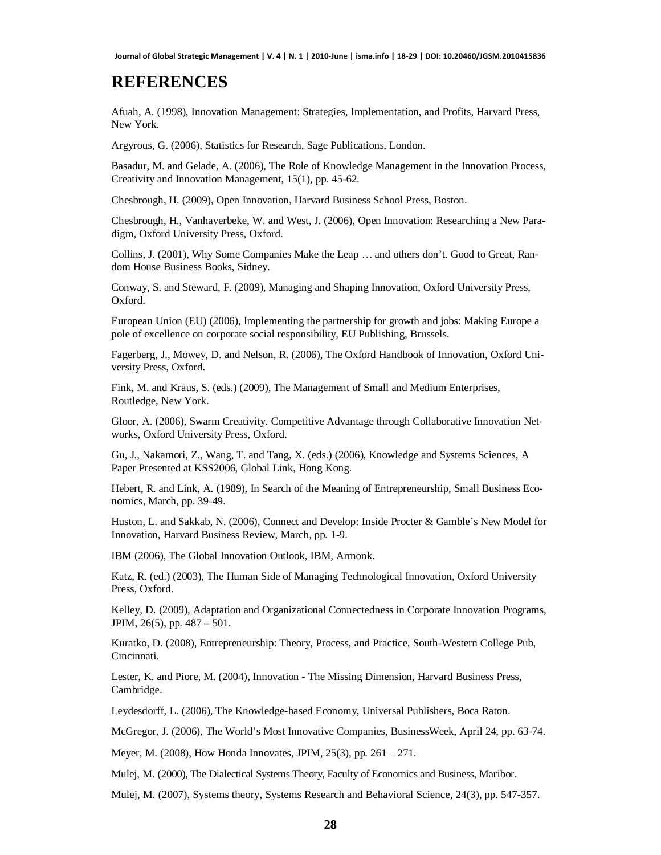### **REFERENCES**

Afuah, A. (1998), Innovation Management: Strategies, Implementation, and Profits, Harvard Press, New York.

Argyrous, G. (2006), Statistics for Research, Sage Publications, London.

Basadur, M. and Gelade, A. (2006), The Role of Knowledge Management in the Innovation Process, Creativity and Innovation Management, 15(1), pp. 45-62.

Chesbrough, H. (2009), Open Innovation, Harvard Business School Press, Boston.

Chesbrough, H., Vanhaverbeke, W. and West, J. (2006), Open Innovation: Researching a New Paradigm, Oxford University Press, Oxford.

Collins, J. (2001), Why Some Companies Make the Leap … and others don't. Good to Great, Random House Business Books, Sidney.

Conway, S. and Steward, F. (2009), Managing and Shaping Innovation, Oxford University Press, Oxford.

European Union (EU) (2006), Implementing the partnership for growth and jobs: Making Europe a pole of excellence on corporate social responsibility, EU Publishing, Brussels.

Fagerberg, J., Mowey, D. and Nelson, R. (2006), The Oxford Handbook of Innovation, Oxford University Press, Oxford.

Fink, M. and Kraus, S. (eds.) (2009), The Management of Small and Medium Enterprises, Routledge, New York.

Gloor, A. (2006), Swarm Creativity. Competitive Advantage through Collaborative Innovation Networks, Oxford University Press, Oxford.

Gu, J., Nakamori, Z., Wang, T. and Tang, X. (eds.) (2006), Knowledge and Systems Sciences, A Paper Presented at KSS2006, Global Link, Hong Kong.

Hebert, R. and Link, A. (1989), In Search of the Meaning of Entrepreneurship, Small Business Economics, March, pp. 39-49.

Huston, L. and Sakkab, N. (2006), Connect and Develop: Inside Procter & Gamble's New Model for Innovation, Harvard Business Review, March, pp. 1-9.

IBM (2006), The Global Innovation Outlook, IBM, Armonk.

Katz, R. (ed.) (2003), The Human Side of Managing Technological Innovation, Oxford University Press, Oxford.

Kelley, D. (2009), Adaptation and Organizational Connectedness in Corporate Innovation Programs, JPIM, 26(5), pp. 487 **–** 501.

Kuratko, D. (2008), Entrepreneurship: Theory, Process, and Practice, South-Western College Pub, Cincinnati.

Lester, K. and Piore, M. (2004), Innovation - The Missing Dimension, Harvard Business Press, Cambridge.

Leydesdorff, L. (2006), The Knowledge-based Economy, Universal Publishers, Boca Raton.

McGregor, J. (2006), The World's Most Innovative Companies, BusinessWeek, April 24, pp. 63-74.

Meyer, M. (2008), How Honda Innovates, JPIM, 25(3), pp. 261 – 271.

Mulej, M. (2000), The Dialectical Systems Theory, Faculty of Economics and Business, Maribor.

Mulej, M. (2007), Systems theory, Systems Research and Behavioral Science, 24(3), pp. 547-357.